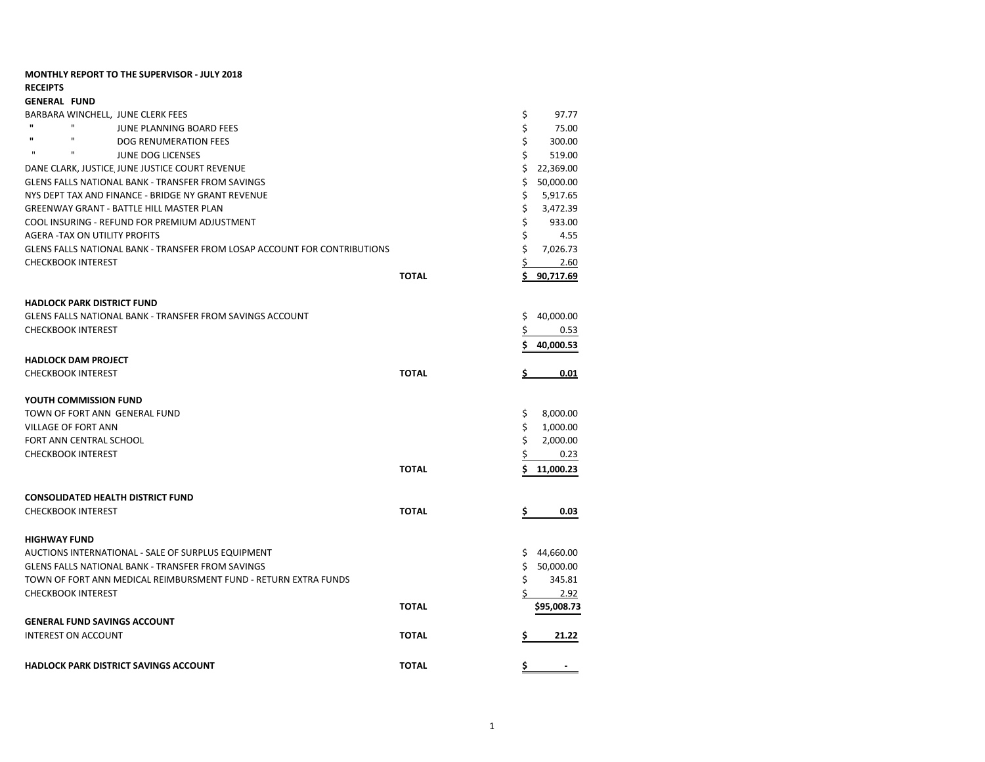| <b>MONTHLY REPORT TO THE SUPERVISOR - JULY 2018</b>                                                    |              |          |             |
|--------------------------------------------------------------------------------------------------------|--------------|----------|-------------|
| <b>RECEIPTS</b>                                                                                        |              |          |             |
| <b>GENERAL FUND</b><br>BARBARA WINCHELL, JUNE CLERK FEES                                               |              | \$       | 97.77       |
| $\mathbf{u}$<br>$\mathbf{H}$<br>JUNE PLANNING BOARD FEES                                               |              | \$       | 75.00       |
| $\mathbf{u}$<br>$\mathbf{u}$<br>DOG RENUMERATION FEES                                                  |              | \$       | 300.00      |
| $\mathbf{H}$<br>п<br><b>JUNE DOG LICENSES</b>                                                          |              | Ś.       | 519.00      |
| DANE CLARK, JUSTICE JUNE JUSTICE COURT REVENUE                                                         |              | \$       | 22,369.00   |
| <b>GLENS FALLS NATIONAL BANK - TRANSFER FROM SAVINGS</b>                                               |              | Ś.       | 50,000.00   |
| NYS DEPT TAX AND FINANCE - BRIDGE NY GRANT REVENUE                                                     |              | \$       |             |
|                                                                                                        |              | \$       | 5,917.65    |
| <b>GREENWAY GRANT - BATTLE HILL MASTER PLAN</b>                                                        |              | \$       | 3,472.39    |
| COOL INSURING - REFUND FOR PREMIUM ADJUSTMENT                                                          |              | \$       | 933.00      |
| AGERA - TAX ON UTILITY PROFITS                                                                         |              | \$       | 4.55        |
| GLENS FALLS NATIONAL BANK - TRANSFER FROM LOSAP ACCOUNT FOR CONTRIBUTIONS<br><b>CHECKBOOK INTEREST</b> |              |          | 7,026.73    |
|                                                                                                        |              | \$       | 2.60        |
|                                                                                                        | <b>TOTAL</b> | S        | 90.717.69   |
|                                                                                                        |              |          |             |
| <b>HADLOCK PARK DISTRICT FUND</b>                                                                      |              |          |             |
| <b>GLENS FALLS NATIONAL BANK - TRANSFER FROM SAVINGS ACCOUNT</b><br><b>CHECKBOOK INTEREST</b>          |              | \$<br>Ś  | 40,000.00   |
|                                                                                                        |              |          | 0.53        |
|                                                                                                        |              | \$       | 40,000.53   |
| <b>HADLOCK DAM PROJECT</b>                                                                             |              |          |             |
| <b>CHECKBOOK INTEREST</b>                                                                              | <b>TOTAL</b> | <u>s</u> | 0.01        |
|                                                                                                        |              |          |             |
| YOUTH COMMISSION FUND                                                                                  |              |          |             |
| TOWN OF FORT ANN GENERAL FUND                                                                          |              | \$       | 8,000.00    |
| <b>VILLAGE OF FORT ANN</b>                                                                             |              | \$       | 1,000.00    |
| FORT ANN CENTRAL SCHOOL                                                                                |              | \$       | 2,000.00    |
| <b>CHECKBOOK INTEREST</b>                                                                              |              | \$       | 0.23        |
|                                                                                                        | <b>TOTAL</b> | Ś        | 11,000.23   |
|                                                                                                        |              |          |             |
| <b>CONSOLIDATED HEALTH DISTRICT FUND</b>                                                               |              |          |             |
| <b>CHECKBOOK INTEREST</b>                                                                              | <b>TOTAL</b> | \$       | 0.03        |
|                                                                                                        |              |          |             |
| <b>HIGHWAY FUND</b>                                                                                    |              |          |             |
| AUCTIONS INTERNATIONAL - SALE OF SURPLUS EQUIPMENT                                                     |              | \$       | 44,660.00   |
| GLENS FALLS NATIONAL BANK - TRANSFER FROM SAVINGS                                                      |              | Ś.       | 50,000.00   |
| TOWN OF FORT ANN MEDICAL REIMBURSMENT FUND - RETURN EXTRA FUNDS                                        |              | \$       | 345.81      |
| <b>CHECKBOOK INTEREST</b>                                                                              |              | Ś        | 2.92        |
|                                                                                                        | <b>TOTAL</b> |          | \$95,008.73 |
| <b>GENERAL FUND SAVINGS ACCOUNT</b>                                                                    |              |          |             |
| <b>INTEREST ON ACCOUNT</b>                                                                             | <b>TOTAL</b> | \$       | 21.22       |
|                                                                                                        |              |          |             |
| <b>HADLOCK PARK DISTRICT SAVINGS ACCOUNT</b>                                                           | <b>TOTAL</b> | \$       |             |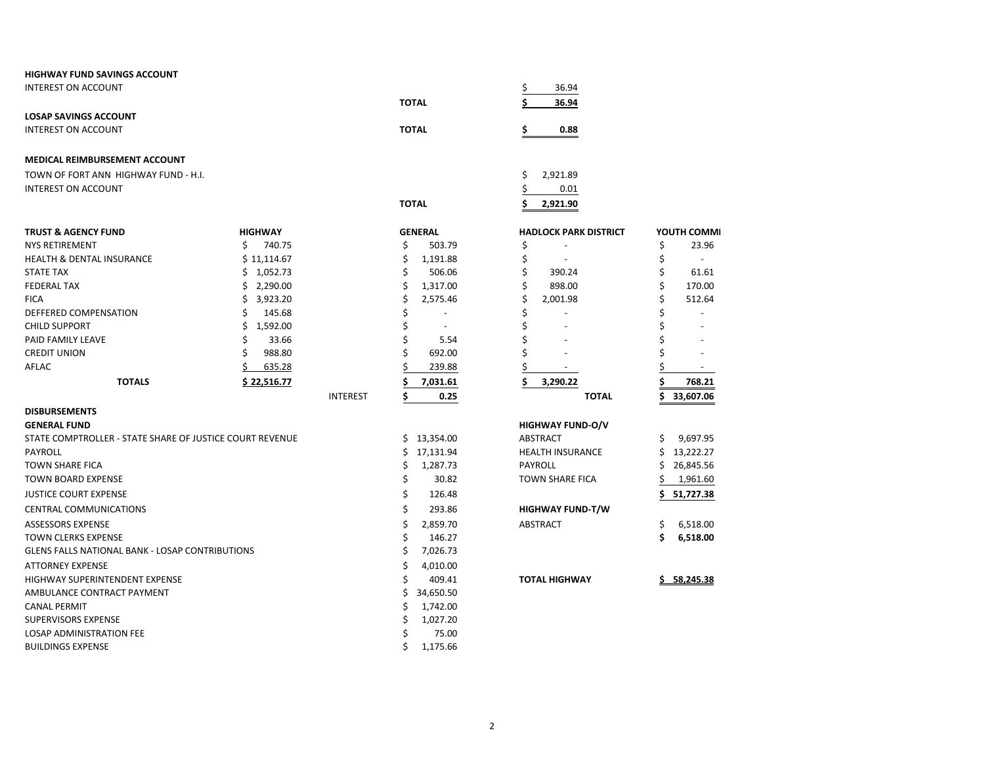| <b>HIGHWAY FUND SAVINGS ACCOUNT</b>                      |                |                 |                                |                                |
|----------------------------------------------------------|----------------|-----------------|--------------------------------|--------------------------------|
| <b>INTEREST ON ACCOUNT</b>                               |                |                 |                                | \$<br>36.94                    |
|                                                          |                |                 | <b>TOTAL</b>                   | 36.94                          |
| <b>LOSAP SAVINGS ACCOUNT</b>                             |                |                 |                                |                                |
| <b>INTEREST ON ACCOUNT</b>                               |                |                 | <b>TOTAL</b>                   | \$<br>0.88                     |
|                                                          |                |                 |                                |                                |
| <b>MEDICAL REIMBURSEMENT ACCOUNT</b>                     |                |                 |                                |                                |
| TOWN OF FORT ANN HIGHWAY FUND - H.I.                     |                |                 |                                | \$<br>2,921.89                 |
| INTEREST ON ACCOUNT                                      |                |                 |                                | \$<br>0.01                     |
|                                                          |                |                 | <b>TOTAL</b>                   | Ś<br>2,921.90                  |
|                                                          |                |                 |                                |                                |
| <b>TRUST &amp; AGENCY FUND</b>                           | <b>HIGHWAY</b> |                 | <b>GENERAL</b>                 | <b>HADLOCK PARK DISTRICT</b>   |
| <b>NYS RETIREMENT</b>                                    | \$<br>740.75   |                 | \$<br>503.79                   | \$                             |
| <b>HEALTH &amp; DENTAL INSURANCE</b>                     | \$11,114.67    |                 | \$<br>1,191.88                 | \$                             |
| <b>STATE TAX</b>                                         | \$1,052.73     |                 | \$<br>506.06                   | \$<br>390.24                   |
| <b>FEDERAL TAX</b>                                       | \$2,290.00     |                 | \$<br>1,317.00                 | \$<br>898.00                   |
| <b>FICA</b>                                              | \$<br>3,923.20 |                 | \$<br>2,575.46                 | \$<br>2,001.98                 |
| DEFFERED COMPENSATION                                    | \$<br>145.68   |                 | \$<br>$\overline{\phantom{a}}$ | \$<br>$\overline{\phantom{a}}$ |
| <b>CHILD SUPPORT</b>                                     | \$<br>1,592.00 |                 | \$<br>$\overline{\phantom{a}}$ | \$                             |
| PAID FAMILY LEAVE                                        | \$<br>33.66    |                 | \$<br>5.54                     | \$                             |
| <b>CREDIT UNION</b>                                      | Ś<br>988.80    |                 | \$<br>692.00                   | \$                             |
| <b>AFLAC</b>                                             | Ś<br>635.28    |                 | Ś<br>239.88                    | \$<br>$\blacksquare$           |
| <b>TOTALS</b>                                            | \$22,516.77    |                 | \$<br>7,031.61                 | Ś<br>3,290.22                  |
|                                                          |                | <b>INTEREST</b> | \$<br>0.25                     | <b>TOTAL</b>                   |
| <b>DISBURSEMENTS</b>                                     |                |                 |                                |                                |
| <b>GENERAL FUND</b>                                      |                |                 |                                | <b>HIGHWAY FUND-O/V</b>        |
| STATE COMPTROLLER - STATE SHARE OF JUSTICE COURT REVENUE |                |                 | \$13,354.00                    | ABSTRACT                       |
| <b>PAYROLL</b>                                           |                |                 | \$<br>17,131.94                | <b>HEALTH INSURANCE</b>        |
| <b>TOWN SHARE FICA</b>                                   |                |                 | \$<br>1,287.73                 | <b>PAYROLL</b>                 |
| <b>TOWN BOARD EXPENSE</b>                                |                |                 | \$<br>30.82                    | <b>TOWN SHARE FICA</b>         |
| <b>JUSTICE COURT EXPENSE</b>                             |                |                 | \$<br>126.48                   |                                |
| <b>CENTRAL COMMUNICATIONS</b>                            |                |                 | \$<br>293.86                   | <b>HIGHWAY FUND-T/W</b>        |
| <b>ASSESSORS EXPENSE</b>                                 |                |                 | \$<br>2,859.70                 | ABSTRACT                       |
| <b>TOWN CLERKS EXPENSE</b>                               |                |                 | \$<br>146.27                   |                                |
| <b>GLENS FALLS NATIONAL BANK - LOSAP CONTRIBUTIONS</b>   |                |                 | \$<br>7,026.73                 |                                |
| <b>ATTORNEY EXPENSE</b>                                  |                |                 | \$<br>4,010.00                 |                                |
| HIGHWAY SUPERINTENDENT EXPENSE                           |                |                 | Ś<br>409.41                    | <b>TOTAL HIGHWAY</b>           |

AMBULANCE CONTRACT PAYMENT

LOSAP ADMINISTRATION FEE

**CANAL PERMIT** SUPERVISORS EXPENSE

**BUILDINGS EXPENSE** 

 $\overline{2}$ 

 $$34,650.50$ 

 $$1,742.00$ 

 $$1,027.20$ 

75.00  $$1,175.66$ 

 $\ddot{\varsigma}$ 

YOUTH COMMI

23.96

 $\sim$ 

61.61

170.00

512.64

 $\omega$ 

 $\sim$ 

 $\pm$ 

 $\mathbb{Z}^+$ 

 $\sim$ 

768.21  $$33,607.06$ 

 $$9,697.95$  $$13,222.27$  $$26,845.56$  $$1,961.60$  $$ 51,727.38$ 

 $$6,518.00$  $$6,518.00$ 

 $$58,245.38$ 

\$

 $\boldsymbol{\zeta}$ 

\$

\$

 $\boldsymbol{\mathsf{S}}$ 

\$

 $\zeta$ 

\$

\$

\$

\$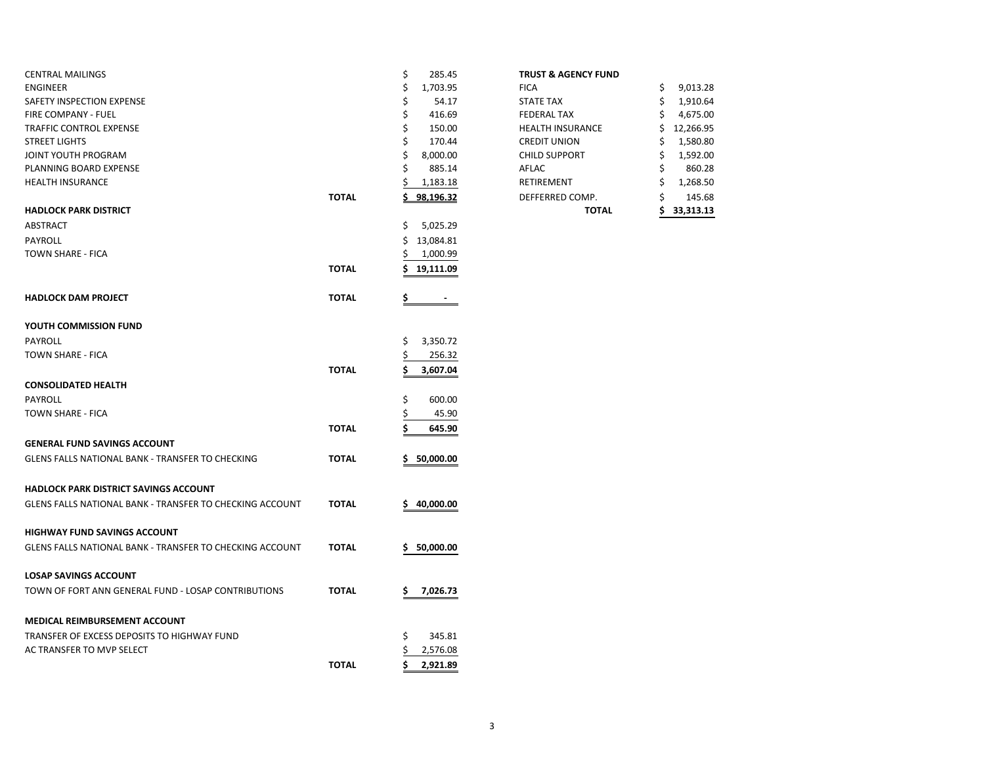| <b>CENTRAL MAILINGS</b>                                         |              | \$<br>285.45         | <b>TRUST &amp; AGENCY FUND</b> |                 |
|-----------------------------------------------------------------|--------------|----------------------|--------------------------------|-----------------|
| <b>ENGINEER</b>                                                 |              | \$<br>1,703.95       | <b>FICA</b>                    | 9,013.28<br>\$  |
| SAFETY INSPECTION EXPENSE                                       |              | Ś<br>54.17           | <b>STATE TAX</b>               | 1,910.64<br>\$  |
| FIRE COMPANY - FUEL                                             |              | \$<br>416.69         | <b>FEDERAL TAX</b>             | 4,675.00        |
| TRAFFIC CONTROL EXPENSE                                         |              | \$<br>150.00         | <b>HEALTH INSURANCE</b>        | 12,266.95       |
| <b>STREET LIGHTS</b>                                            |              | \$<br>170.44         | <b>CREDIT UNION</b>            | 1,580.80<br>S   |
| JOINT YOUTH PROGRAM                                             |              | 8,000.00             | <b>CHILD SUPPORT</b>           | 1,592.00        |
| PLANNING BOARD EXPENSE                                          |              | 885.14               | AFLAC                          | 860.28          |
| <b>HEALTH INSURANCE</b>                                         |              | 1,183.18             | RETIREMENT                     | 1,268.50<br>\$  |
|                                                                 | <b>TOTAL</b> | 98,196.32            | DEFFERRED COMP.                | 145.68          |
| <b>HADLOCK PARK DISTRICT</b>                                    |              |                      | <b>TOTAL</b>                   | \$<br>33,313.13 |
| ABSTRACT                                                        |              | 5,025.29<br>\$       |                                |                 |
| PAYROLL                                                         |              | \$13,084.81          |                                |                 |
| TOWN SHARE - FICA                                               |              | 1,000.99             |                                |                 |
|                                                                 | <b>TOTAL</b> | 19,111.09            |                                |                 |
| <b>HADLOCK DAM PROJECT</b>                                      | <b>TOTAL</b> | Ş.<br>$\blacksquare$ |                                |                 |
| YOUTH COMMISSION FUND                                           |              |                      |                                |                 |
| PAYROLL                                                         |              | 3,350.72<br>\$       |                                |                 |
| TOWN SHARE - FICA                                               |              | 256.32<br>S          |                                |                 |
|                                                                 | <b>TOTAL</b> | Ś<br>3,607.04        |                                |                 |
| <b>CONSOLIDATED HEALTH</b>                                      |              |                      |                                |                 |
| PAYROLL                                                         |              | \$<br>600.00         |                                |                 |
| TOWN SHARE - FICA                                               |              | 45.90                |                                |                 |
|                                                                 | <b>TOTAL</b> | 645.90               |                                |                 |
|                                                                 |              |                      |                                |                 |
| <b>GENERAL FUND SAVINGS ACCOUNT</b>                             |              |                      |                                |                 |
| GLENS FALLS NATIONAL BANK - TRANSFER TO CHECKING                | <b>TOTAL</b> | 50,000.00<br>\$.     |                                |                 |
| <b>HADLOCK PARK DISTRICT SAVINGS ACCOUNT</b>                    |              |                      |                                |                 |
| GLENS FALLS NATIONAL BANK - TRANSFER TO CHECKING ACCOUNT        | <b>TOTAL</b> | 40,000.00            |                                |                 |
| <b>HIGHWAY FUND SAVINGS ACCOUNT</b>                             |              |                      |                                |                 |
| <b>GLENS FALLS NATIONAL BANK - TRANSFER TO CHECKING ACCOUNT</b> | <b>TOTAL</b> | 50,000.00<br>\$      |                                |                 |
| <b>LOSAP SAVINGS ACCOUNT</b>                                    |              |                      |                                |                 |
| TOWN OF FORT ANN GENERAL FUND - LOSAP CONTRIBUTIONS             | <b>TOTAL</b> | 7,026.73<br>Ś        |                                |                 |
| <b>MEDICAL REIMBURSEMENT ACCOUNT</b>                            |              |                      |                                |                 |
|                                                                 |              | 345.81<br>\$         |                                |                 |
| AC TRANSFER TO MVP SELECT                                       |              | 2,576.08             |                                |                 |
|                                                                 | <b>TOTAL</b> |                      |                                |                 |
| TRANSFER OF EXCESS DEPOSITS TO HIGHWAY FUND                     |              | \$<br>2,921.89       |                                |                 |

## **TRUST & AGENCY FUND**

|       |    |           | <b>TOTAL</b>            | 33,313.13       |
|-------|----|-----------|-------------------------|-----------------|
| ΤΟΤΑL |    | 98,196.32 | DEFFERRED COMP.         | \$<br>145.68    |
|       | Ś  | 1,183.18  | <b>RETIREMENT</b>       | \$<br>1,268.50  |
|       | \$ | 885.14    | AFLAC                   | \$<br>860.28    |
|       | \$ | 8,000.00  | <b>CHILD SUPPORT</b>    | \$<br>1,592.00  |
|       | \$ | 170.44    | <b>CREDIT UNION</b>     | \$<br>1,580.80  |
|       | \$ | 150.00    | <b>HEALTH INSURANCE</b> | \$<br>12,266.95 |
|       | \$ | 416.69    | <b>FEDERAL TAX</b>      | \$<br>4,675.00  |
|       | \$ | 54.17     | <b>STATE TAX</b>        | \$<br>1,910.64  |
|       | \$ | 1,703.95  | <b>FICA</b>             | \$<br>9,013.28  |